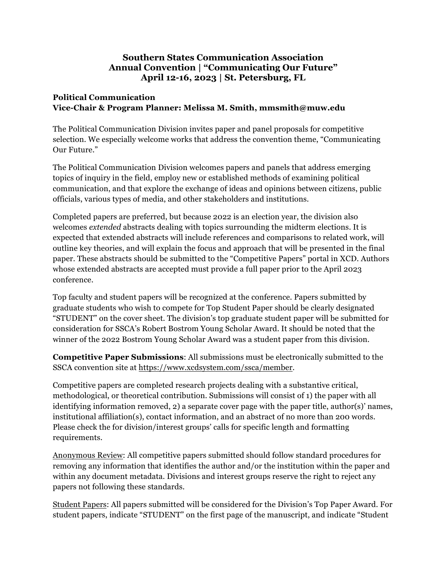## **Southern States Communication Association Annual Convention | "Communicating Our Future" April 12-16, 2023 | St. Petersburg, FL**

## **Political Communication Vice-Chair & Program Planner: Melissa M. Smith, mmsmith@muw.edu**

The Political Communication Division invites paper and panel proposals for competitive selection. We especially welcome works that address the convention theme, "Communicating Our Future."

The Political Communication Division welcomes papers and panels that address emerging topics of inquiry in the field, employ new or established methods of examining political communication, and that explore the exchange of ideas and opinions between citizens, public officials, various types of media, and other stakeholders and institutions.

Completed papers are preferred, but because 2022 is an election year, the division also welcomes *extended* abstracts dealing with topics surrounding the midterm elections. It is expected that extended abstracts will include references and comparisons to related work, will outline key theories, and will explain the focus and approach that will be presented in the final paper. These abstracts should be submitted to the "Competitive Papers" portal in XCD. Authors whose extended abstracts are accepted must provide a full paper prior to the April 2023 conference.

Top faculty and student papers will be recognized at the conference. Papers submitted by graduate students who wish to compete for Top Student Paper should be clearly designated "STUDENT" on the cover sheet. The division's top graduate student paper will be submitted for consideration for SSCA's Robert Bostrom Young Scholar Award. It should be noted that the winner of the 2022 Bostrom Young Scholar Award was a student paper from this division.

**Competitive Paper Submissions**: All submissions must be electronically submitted to the SSCA convention site at https://www.xcdsystem.com/ssca/member.

Competitive papers are completed research projects dealing with a substantive critical, methodological, or theoretical contribution. Submissions will consist of 1) the paper with all identifying information removed, 2) a separate cover page with the paper title, author(s)' names, institutional affiliation(s), contact information, and an abstract of no more than 200 words. Please check the for division/interest groups' calls for specific length and formatting requirements.

Anonymous Review: All competitive papers submitted should follow standard procedures for removing any information that identifies the author and/or the institution within the paper and within any document metadata. Divisions and interest groups reserve the right to reject any papers not following these standards.

Student Papers: All papers submitted will be considered for the Division's Top Paper Award. For student papers, indicate "STUDENT" on the first page of the manuscript, and indicate "Student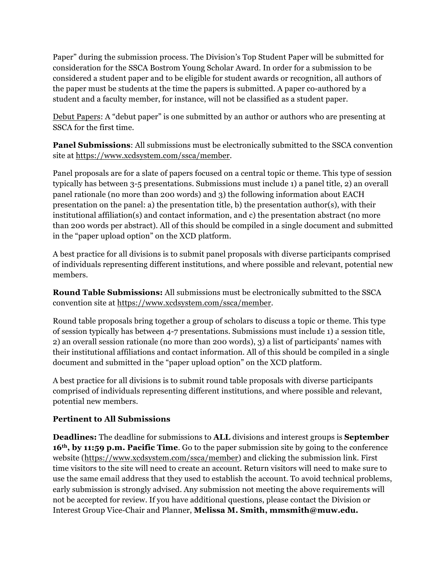Paper" during the submission process. The Division's Top Student Paper will be submitted for consideration for the SSCA Bostrom Young Scholar Award. In order for a submission to be considered a student paper and to be eligible for student awards or recognition, all authors of the paper must be students at the time the papers is submitted. A paper co-authored by a student and a faculty member, for instance, will not be classified as a student paper.

Debut Papers: A "debut paper" is one submitted by an author or authors who are presenting at SSCA for the first time.

**Panel Submissions**: All submissions must be electronically submitted to the SSCA convention site at https://www.xcdsystem.com/ssca/member.

Panel proposals are for a slate of papers focused on a central topic or theme. This type of session typically has between 3-5 presentations. Submissions must include 1) a panel title, 2) an overall panel rationale (no more than 200 words) and 3) the following information about EACH presentation on the panel: a) the presentation title, b) the presentation author(s), with their institutional affiliation(s) and contact information, and c) the presentation abstract (no more than 200 words per abstract). All of this should be compiled in a single document and submitted in the "paper upload option" on the XCD platform.

A best practice for all divisions is to submit panel proposals with diverse participants comprised of individuals representing different institutions, and where possible and relevant, potential new members.

**Round Table Submissions:** All submissions must be electronically submitted to the SSCA convention site at https://www.xcdsystem.com/ssca/member.

Round table proposals bring together a group of scholars to discuss a topic or theme. This type of session typically has between 4-7 presentations. Submissions must include 1) a session title, 2) an overall session rationale (no more than 200 words), 3) a list of participants' names with their institutional affiliations and contact information. All of this should be compiled in a single document and submitted in the "paper upload option" on the XCD platform.

A best practice for all divisions is to submit round table proposals with diverse participants comprised of individuals representing different institutions, and where possible and relevant, potential new members.

## **Pertinent to All Submissions**

**Deadlines:** The deadline for submissions to **ALL** divisions and interest groups is **September 16th, by 11:59 p.m. Pacific Time**. Go to the paper submission site by going to the conference website (https://www.xcdsystem.com/ssca/member) and clicking the submission link. First time visitors to the site will need to create an account. Return visitors will need to make sure to use the same email address that they used to establish the account. To avoid technical problems, early submission is strongly advised. Any submission not meeting the above requirements will not be accepted for review. If you have additional questions, please contact the Division or Interest Group Vice-Chair and Planner, **Melissa M. Smith, mmsmith@muw.edu.**